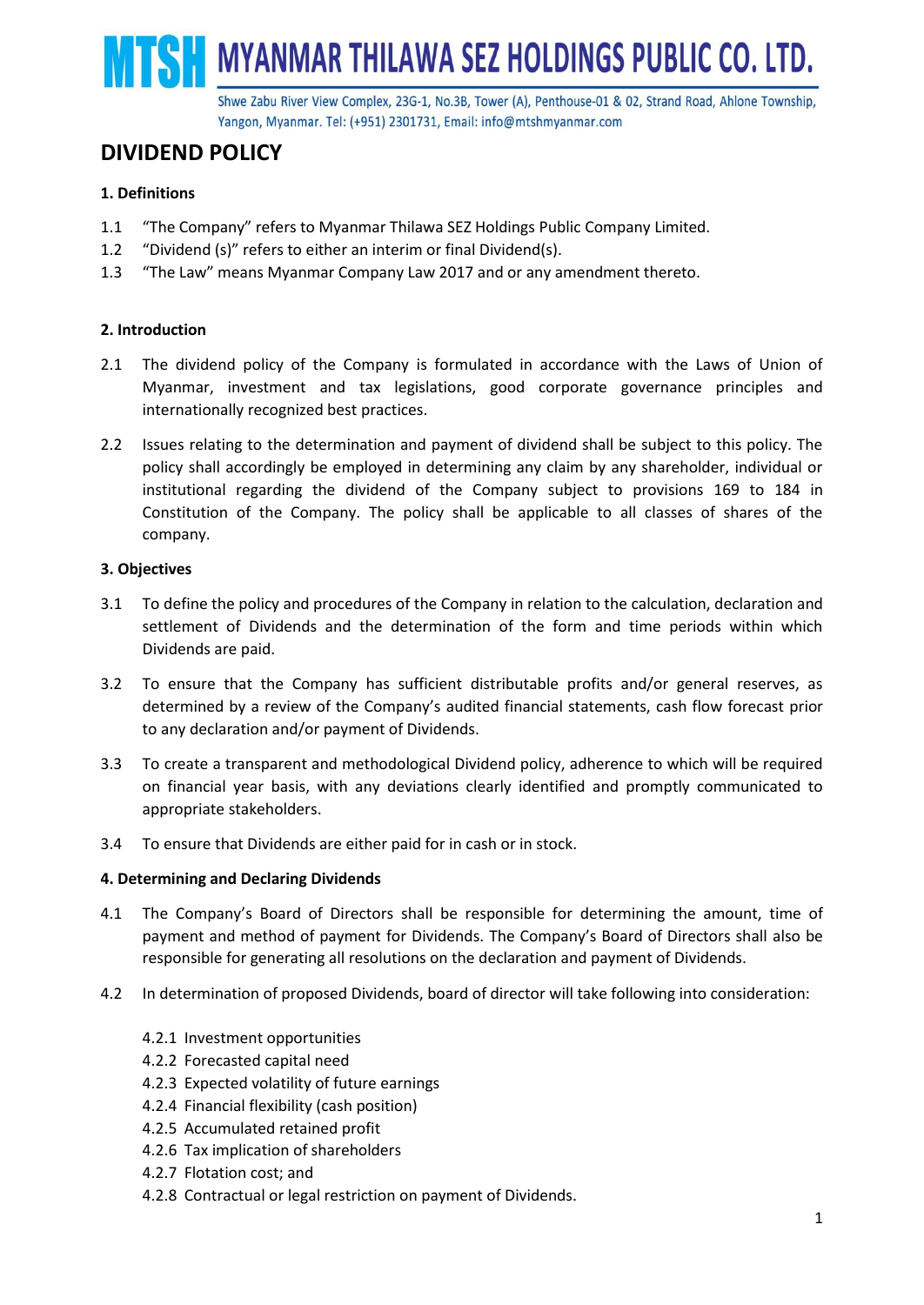SH MYANMAR THILAWA SEZ HOLDINGS PUBLIC CO. LTD.

Shwe Zabu River View Complex, 23G-1, No.3B, Tower (A), Penthouse-01 & 02, Strand Road, Ahlone Township, Yangon, Myanmar. Tel: (+951) 2301731, Email: info@mtshmyanmar.com

# **DIVIDEND POLICY**

## **1. Definitions**

- 1.1 "The Company" refers to Myanmar Thilawa SEZ Holdings Public Company Limited.
- 1.2 "Dividend (s)" refers to either an interim or final Dividend(s).
- 1.3 "The Law" means Myanmar Company Law 2017 and or any amendment thereto.

## **2. Introduction**

- 2.1 The dividend policy of the Company is formulated in accordance with the Laws of Union of Myanmar, investment and tax legislations, good corporate governance principles and internationally recognized best practices.
- 2.2 Issues relating to the determination and payment of dividend shall be subject to this policy. The policy shall accordingly be employed in determining any claim by any shareholder, individual or institutional regarding the dividend of the Company subject to provisions 169 to 184 in Constitution of the Company. The policy shall be applicable to all classes of shares of the company.

## **3. Objectives**

- 3.1 To define the policy and procedures of the Company in relation to the calculation, declaration and settlement of Dividends and the determination of the form and time periods within which Dividends are paid.
- 3.2 To ensure that the Company has sufficient distributable profits and/or general reserves, as determined by a review of the Company's audited financial statements, cash flow forecast prior to any declaration and/or payment of Dividends.
- 3.3 To create a transparent and methodological Dividend policy, adherence to which will be required on financial year basis, with any deviations clearly identified and promptly communicated to appropriate stakeholders.
- 3.4 To ensure that Dividends are either paid for in cash or in stock.

## **4. Determining and Declaring Dividends**

- 4.1 The Company's Board of Directors shall be responsible for determining the amount, time of payment and method of payment for Dividends. The Company's Board of Directors shall also be responsible for generating all resolutions on the declaration and payment of Dividends.
- 4.2 In determination of proposed Dividends, board of director will take following into consideration:
	- 4.2.1 Investment opportunities
	- 4.2.2 Forecasted capital need
	- 4.2.3 Expected volatility of future earnings
	- 4.2.4 Financial flexibility (cash position)
	- 4.2.5 Accumulated retained profit
	- 4.2.6 Tax implication of shareholders
	- 4.2.7 Flotation cost; and
	- 4.2.8 Contractual or legal restriction on payment of Dividends.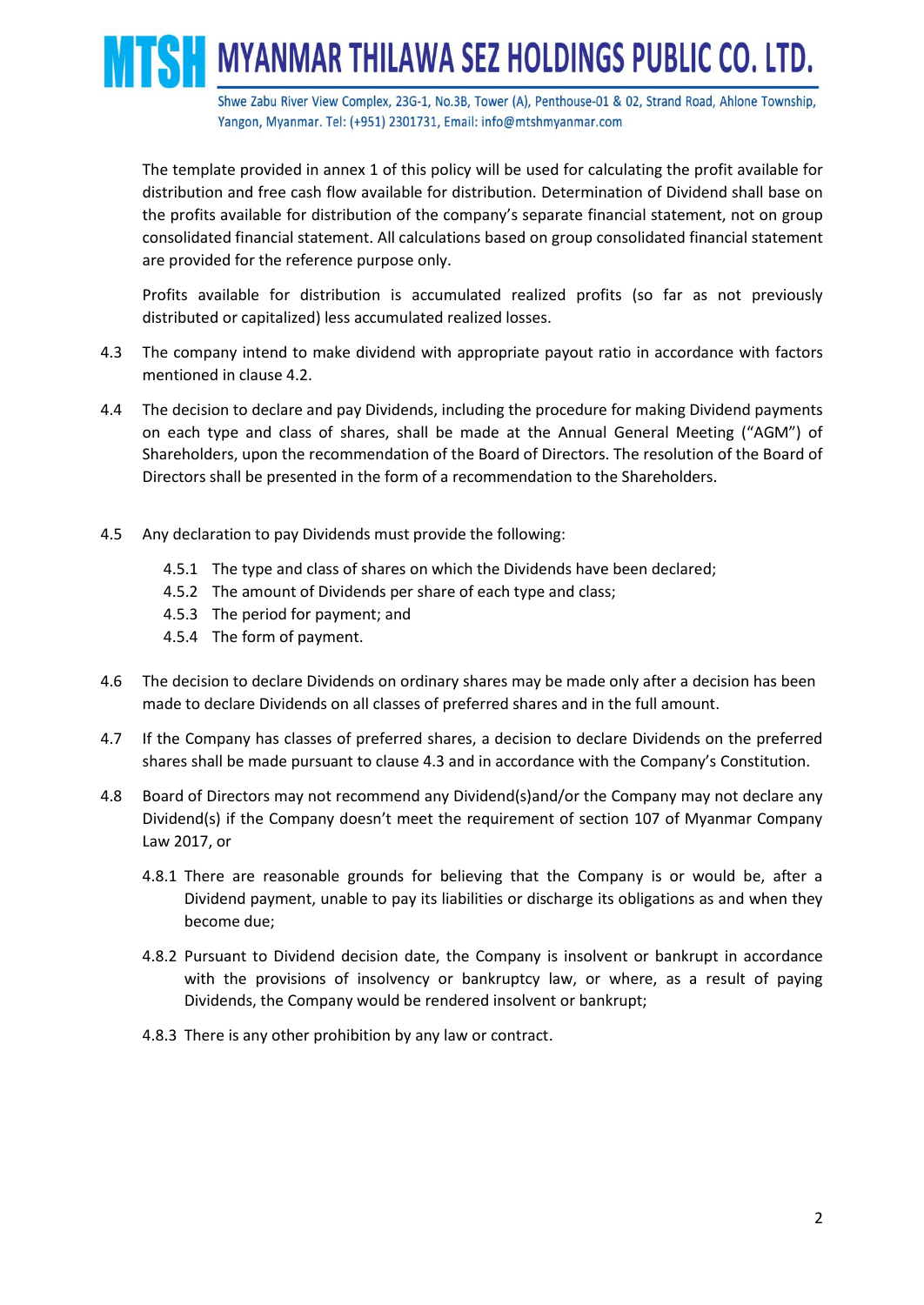Shwe Zabu River View Complex, 23G-1, No.3B, Tower (A), Penthouse-01 & 02, Strand Road, Ahlone Township, Yangon, Myanmar. Tel: (+951) 2301731, Email: info@mtshmyanmar.com

The template provided in annex 1 of this policy will be used for calculating the profit available for distribution and free cash flow available for distribution. Determination of Dividend shall base on the profits available for distribution of the company's separate financial statement, not on group consolidated financial statement. All calculations based on group consolidated financial statement are provided for the reference purpose only.

SH MYANMAR THILAWA SEZ HOLDINGS PUBLIC CO. LTD.

Profits available for distribution is accumulated realized profits (so far as not previously distributed or capitalized) less accumulated realized losses.

- 4.3 The company intend to make dividend with appropriate payout ratio in accordance with factors mentioned in clause 4.2.
- 4.4 The decision to declare and pay Dividends, including the procedure for making Dividend payments on each type and class of shares, shall be made at the Annual General Meeting ("AGM") of Shareholders, upon the recommendation of the Board of Directors. The resolution of the Board of Directors shall be presented in the form of a recommendation to the Shareholders.
- 4.5 Any declaration to pay Dividends must provide the following:
	- 4.5.1 The type and class of shares on which the Dividends have been declared;
	- 4.5.2 The amount of Dividends per share of each type and class;
	- 4.5.3 The period for payment; and
	- 4.5.4 The form of payment.
- 4.6 The decision to declare Dividends on ordinary shares may be made only after a decision has been made to declare Dividends on all classes of preferred shares and in the full amount.
- 4.7 If the Company has classes of preferred shares, a decision to declare Dividends on the preferred shares shall be made pursuant to clause 4.3 and in accordance with the Company's Constitution.
- 4.8 Board of Directors may not recommend any Dividend(s)and/or the Company may not declare any Dividend(s) if the Company doesn't meet the requirement of section 107 of Myanmar Company Law 2017, or
	- 4.8.1 There are reasonable grounds for believing that the Company is or would be, after a Dividend payment, unable to pay its liabilities or discharge its obligations as and when they become due;
	- 4.8.2 Pursuant to Dividend decision date, the Company is insolvent or bankrupt in accordance with the provisions of insolvency or bankruptcy law, or where, as a result of paying Dividends, the Company would be rendered insolvent or bankrupt;
	- 4.8.3 There is any other prohibition by any law or contract.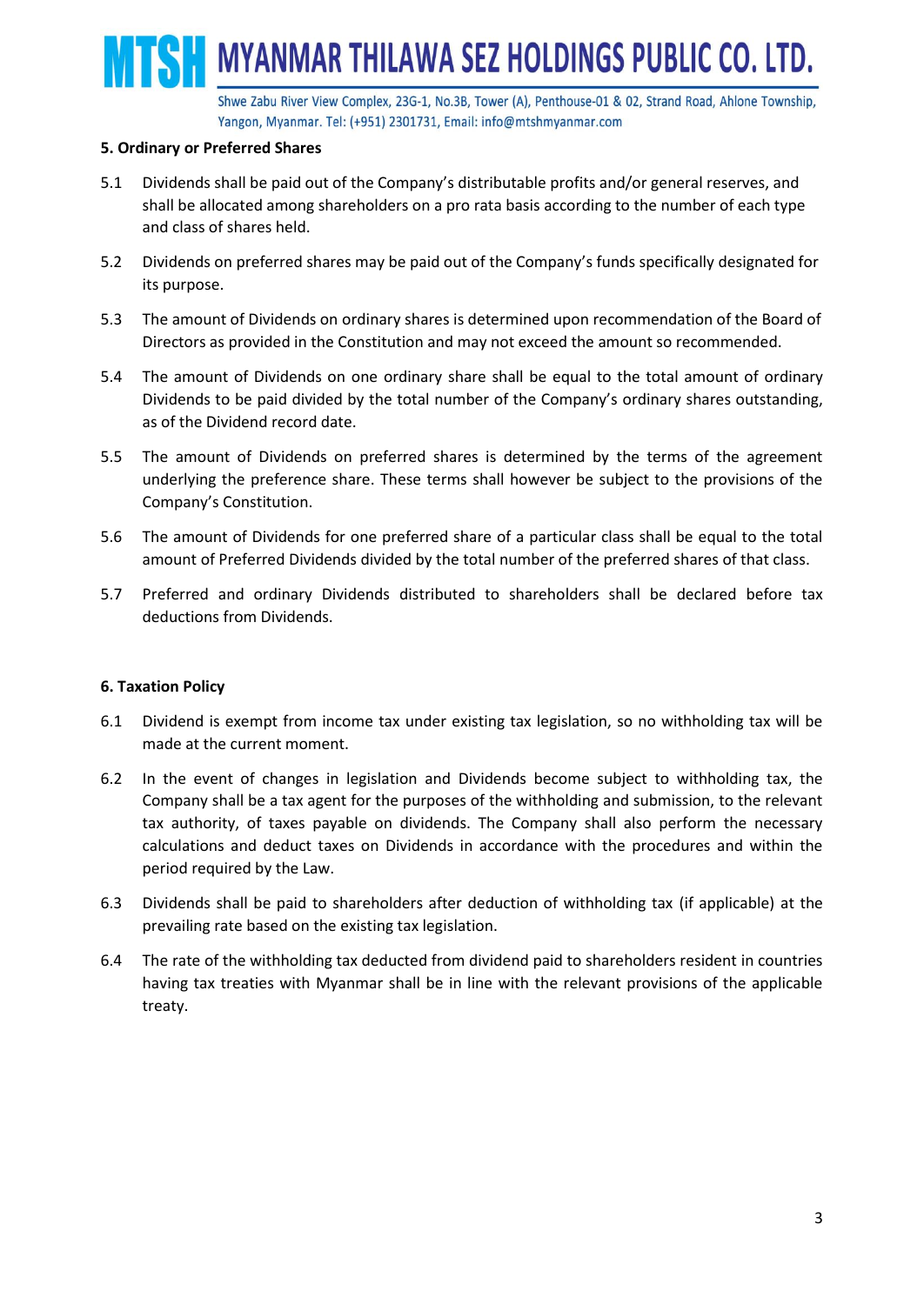Shwe Zabu River View Complex, 23G-1, No.3B, Tower (A), Penthouse-01 & 02, Strand Road, Ahlone Township, Yangon, Myanmar. Tel: (+951) 2301731, Email: info@mtshmyanmar.com

**SH MYANMAR THILAWA SEZ HOLDINGS PUBLIC CO. LTD.** 

#### **5. Ordinary or Preferred Shares**

- 5.1 Dividends shall be paid out of the Company's distributable profits and/or general reserves, and shall be allocated among shareholders on a pro rata basis according to the number of each type and class of shares held.
- 5.2 Dividends on preferred shares may be paid out of the Company's funds specifically designated for its purpose.
- 5.3 The amount of Dividends on ordinary shares is determined upon recommendation of the Board of Directors as provided in the Constitution and may not exceed the amount so recommended.
- 5.4 The amount of Dividends on one ordinary share shall be equal to the total amount of ordinary Dividends to be paid divided by the total number of the Company's ordinary shares outstanding, as of the Dividend record date.
- 5.5 The amount of Dividends on preferred shares is determined by the terms of the agreement underlying the preference share. These terms shall however be subject to the provisions of the Company's Constitution.
- 5.6 The amount of Dividends for one preferred share of a particular class shall be equal to the total amount of Preferred Dividends divided by the total number of the preferred shares of that class.
- 5.7 Preferred and ordinary Dividends distributed to shareholders shall be declared before tax deductions from Dividends.

#### **6. Taxation Policy**

- 6.1 Dividend is exempt from income tax under existing tax legislation, so no withholding tax will be made at the current moment.
- 6.2 In the event of changes in legislation and Dividends become subject to withholding tax, the Company shall be a tax agent for the purposes of the withholding and submission, to the relevant tax authority, of taxes payable on dividends. The Company shall also perform the necessary calculations and deduct taxes on Dividends in accordance with the procedures and within the period required by the Law.
- 6.3 Dividends shall be paid to shareholders after deduction of withholding tax (if applicable) at the prevailing rate based on the existing tax legislation.
- 6.4 The rate of the withholding tax deducted from dividend paid to shareholders resident in countries having tax treaties with Myanmar shall be in line with the relevant provisions of the applicable treaty.